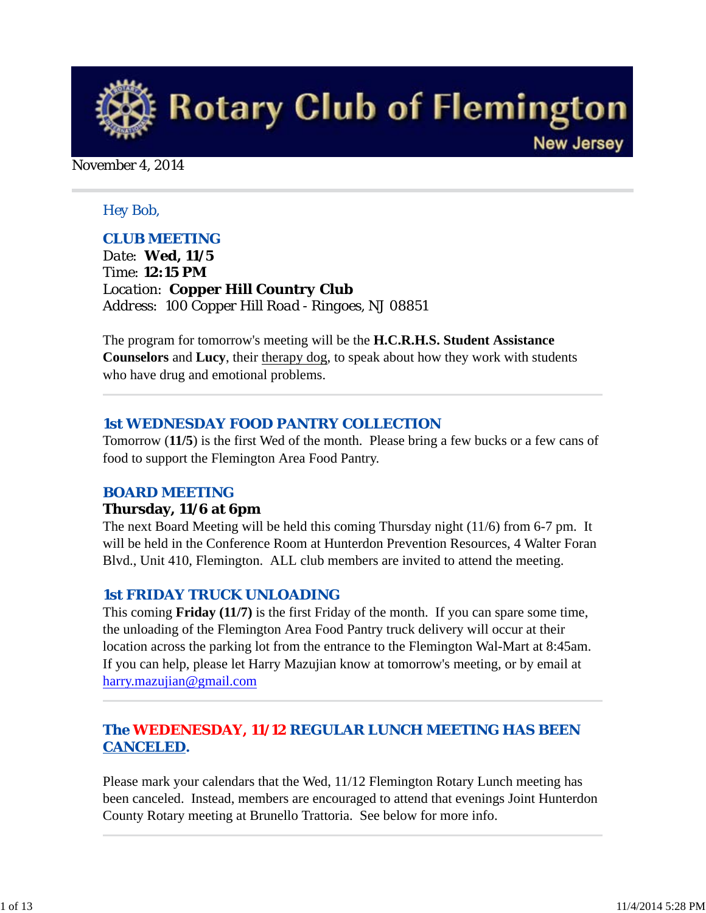

#### November 4, 2014

#### *Hey Bob,*

#### *CLUB MEETING*

*Date: Wed, 11/5 Time: 12:15 PM Location: Copper Hill Country Club Address: 100 Copper Hill Road - Ringoes, NJ 08851*

The program for tomorrow's meeting will be the **H.C.R.H.S. Student Assistance Counselors** and **Lucy**, their therapy dog, to speak about how they work with students who have drug and emotional problems.

#### *1st WEDNESDAY FOOD PANTRY COLLECTION*

Tomorrow (**11/5**) is the first Wed of the month. Please bring a few bucks or a few cans of food to support the Flemington Area Food Pantry.

#### *BOARD MEETING*

#### **Thursday, 11/6 at 6pm**

The next Board Meeting will be held this coming Thursday night (11/6) from 6-7 pm. It will be held in the Conference Room at Hunterdon Prevention Resources, 4 Walter Foran Blvd., Unit 410, Flemington. ALL club members are invited to attend the meeting.

#### *1st FRIDAY TRUCK UNLOADING*

This coming **Friday (11/7)** is the first Friday of the month. If you can spare some time, the unloading of the Flemington Area Food Pantry truck delivery will occur at their location across the parking lot from the entrance to the Flemington Wal-Mart at 8:45am. If you can help, please let Harry Mazujian know at tomorrow's meeting, or by email at harry.mazujian@gmail.com

## *The WEDENESDAY, 11/12 REGULAR LUNCH MEETING HAS BEEN CANCELED.*

Please mark your calendars that the Wed, 11/12 Flemington Rotary Lunch meeting has been canceled. Instead, members are encouraged to attend that evenings Joint Hunterdon County Rotary meeting at Brunello Trattoria. See below for more info.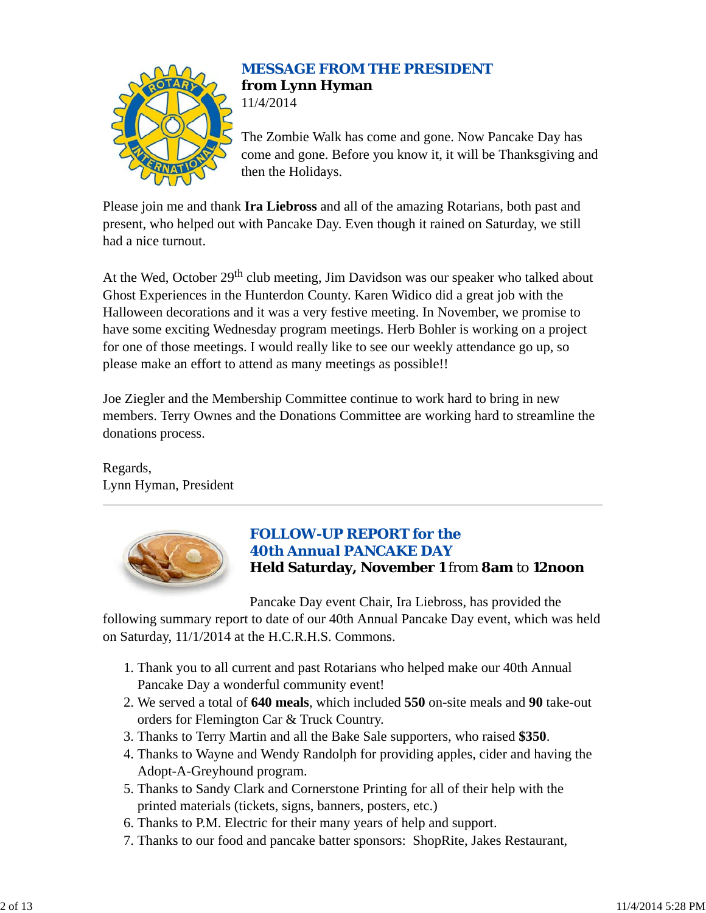

# *MESSAGE FROM THE PRESIDENT* **from Lynn Hyman**

11/4/2014

The Zombie Walk has come and gone. Now Pancake Day has come and gone. Before you know it, it will be Thanksgiving and then the Holidays.

Please join me and thank **Ira Liebross** and all of the amazing Rotarians, both past and present, who helped out with Pancake Day. Even though it rained on Saturday, we still had a nice turnout.

At the Wed, October 29<sup>th</sup> club meeting, Jim Davidson was our speaker who talked about Ghost Experiences in the Hunterdon County. Karen Widico did a great job with the Halloween decorations and it was a very festive meeting. In November, we promise to have some exciting Wednesday program meetings. Herb Bohler is working on a project for one of those meetings. I would really like to see our weekly attendance go up, so please make an effort to attend as many meetings as possible!!

Joe Ziegler and the Membership Committee continue to work hard to bring in new members. Terry Ownes and the Donations Committee are working hard to streamline the donations process.

Regards, Lynn Hyman, President



## *FOLLOW-UP REPORT for the 40th Annual PANCAKE DAY* **Held Saturday, November 1** from **8am** to **12noon**

Pancake Day event Chair, Ira Liebross, has provided the

following summary report to date of our 40th Annual Pancake Day event, which was held on Saturday, 11/1/2014 at the H.C.R.H.S. Commons.

- 1. Thank you to all current and past Rotarians who helped make our 40th Annual Pancake Day a wonderful community event!
- We served a total of **640 meals**, which included **550** on-site meals and **90** take-out 2. orders for Flemington Car & Truck Country.
- 3. Thanks to Terry Martin and all the Bake Sale supporters, who raised **\$350**.
- 4. Thanks to Wayne and Wendy Randolph for providing apples, cider and having the Adopt-A-Greyhound program.
- 5. Thanks to Sandy Clark and Cornerstone Printing for all of their help with the printed materials (tickets, signs, banners, posters, etc.)
- 6. Thanks to P.M. Electric for their many years of help and support.
- 7. Thanks to our food and pancake batter sponsors: ShopRite, Jakes Restaurant,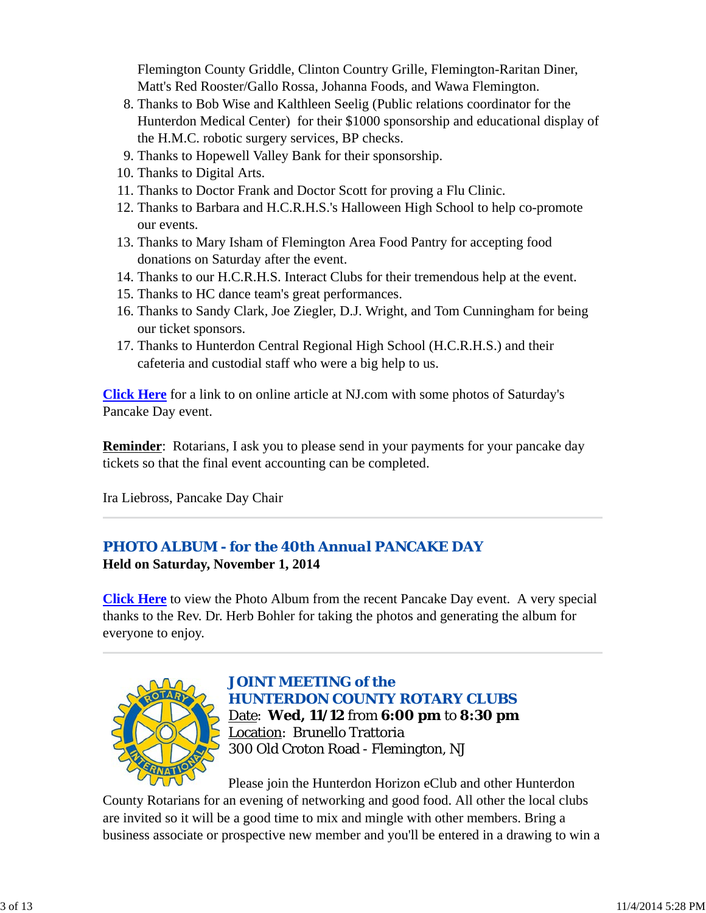Flemington County Griddle, Clinton Country Grille, Flemington-Raritan Diner, Matt's Red Rooster/Gallo Rossa, Johanna Foods, and Wawa Flemington.

- 8. Thanks to Bob Wise and Kalthleen Seelig (Public relations coordinator for the Hunterdon Medical Center) for their \$1000 sponsorship and educational display of the H.M.C. robotic surgery services, BP checks.
- 9. Thanks to Hopewell Valley Bank for their sponsorship.
- 10. Thanks to Digital Arts.
- 11. Thanks to Doctor Frank and Doctor Scott for proving a Flu Clinic.
- 12. Thanks to Barbara and H.C.R.H.S.'s Halloween High School to help co-promote our events.
- 13. Thanks to Mary Isham of Flemington Area Food Pantry for accepting food donations on Saturday after the event.
- 14. Thanks to our H.C.R.H.S. Interact Clubs for their tremendous help at the event.
- 15. Thanks to HC dance team's great performances.
- 16. Thanks to Sandy Clark, Joe Ziegler, D.J. Wright, and Tom Cunningham for being our ticket sponsors.
- 17. Thanks to Hunterdon Central Regional High School (H.C.R.H.S.) and their cafeteria and custodial staff who were a big help to us.

**Click Here** for a link to on online article at NJ.com with some photos of Saturday's Pancake Day event.

**Reminder**: Rotarians, I ask you to please send in your payments for your pancake day tickets so that the final event accounting can be completed.

Ira Liebross, Pancake Day Chair

## *PHOTO ALBUM - for the 40th Annual PANCAKE DAY*

**Held on Saturday, November 1, 2014**

**Click Here** to view the Photo Album from the recent Pancake Day event. A very special thanks to the Rev. Dr. Herb Bohler for taking the photos and generating the album for everyone to enjoy.



*JOINT MEETING of the HUNTERDON COUNTY ROTARY CLUBS* Date: **Wed, 11/12** from **6:00 pm** to **8:30 pm** Location: Brunello Trattoria 300 Old Croton Road - Flemington, NJ

Please join the Hunterdon Horizon eClub and other Hunterdon

County Rotarians for an evening of networking and good food. All other the local clubs are invited so it will be a good time to mix and mingle with other members. Bring a business associate or prospective new member and you'll be entered in a drawing to win a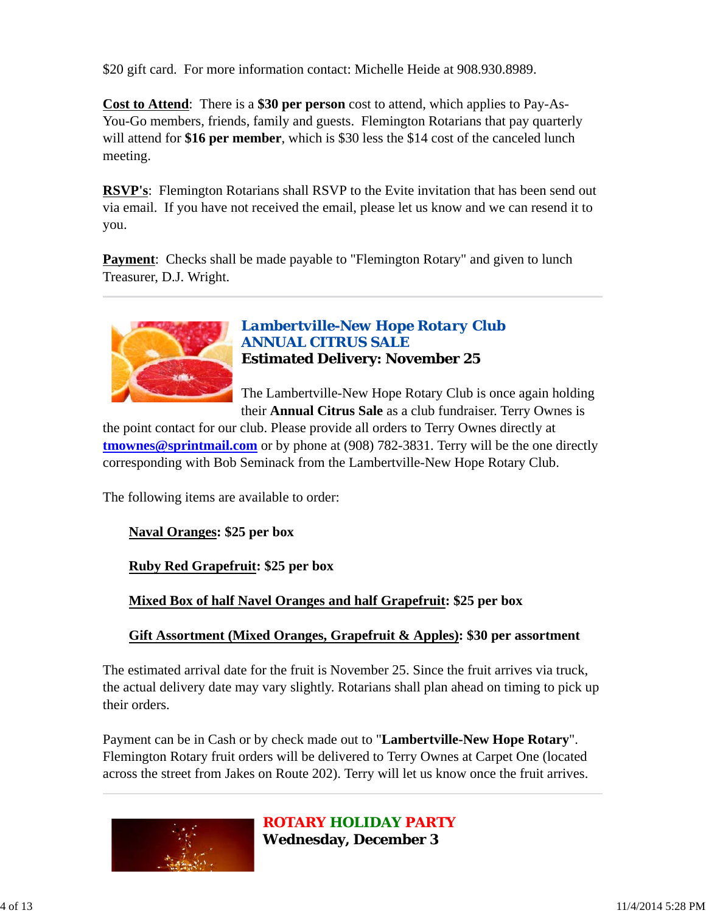\$20 gift card. For more information contact: Michelle Heide at 908.930.8989.

**Cost to Attend**: There is a **\$30 per person** cost to attend, which applies to Pay-As-You-Go members, friends, family and guests. Flemington Rotarians that pay quarterly will attend for **\$16 per member**, which is \$30 less the \$14 cost of the canceled lunch meeting.

**RSVP's**: Flemington Rotarians shall RSVP to the Evite invitation that has been send out via email. If you have not received the email, please let us know and we can resend it to you.

**Payment:** Checks shall be made payable to "Flemington Rotary" and given to lunch Treasurer, D.J. Wright.



*Lambertville-New Hope Rotary Club ANNUAL CITRUS SALE* **Estimated Delivery: November 25**

The Lambertville-New Hope Rotary Club is once again holding their **Annual Citrus Sale** as a club fundraiser. Terry Ownes is

the point contact for our club. Please provide all orders to Terry Ownes directly at **tmownes@sprintmail.com** or by phone at (908) 782-3831. Terry will be the one directly corresponding with Bob Seminack from the Lambertville-New Hope Rotary Club.

The following items are available to order:

**Naval Oranges: \$25 per box**

**Ruby Red Grapefruit: \$25 per box**

**Mixed Box of half Navel Oranges and half Grapefruit: \$25 per box**

**Gift Assortment (Mixed Oranges, Grapefruit & Apples): \$30 per assortment**

The estimated arrival date for the fruit is November 25. Since the fruit arrives via truck, the actual delivery date may vary slightly. Rotarians shall plan ahead on timing to pick up their orders.

Payment can be in Cash or by check made out to "**Lambertville-New Hope Rotary**". Flemington Rotary fruit orders will be delivered to Terry Ownes at Carpet One (located across the street from Jakes on Route 202). Terry will let us know once the fruit arrives.



*ROTARY HOLIDAY PARTY*

**Wednesday, December 3**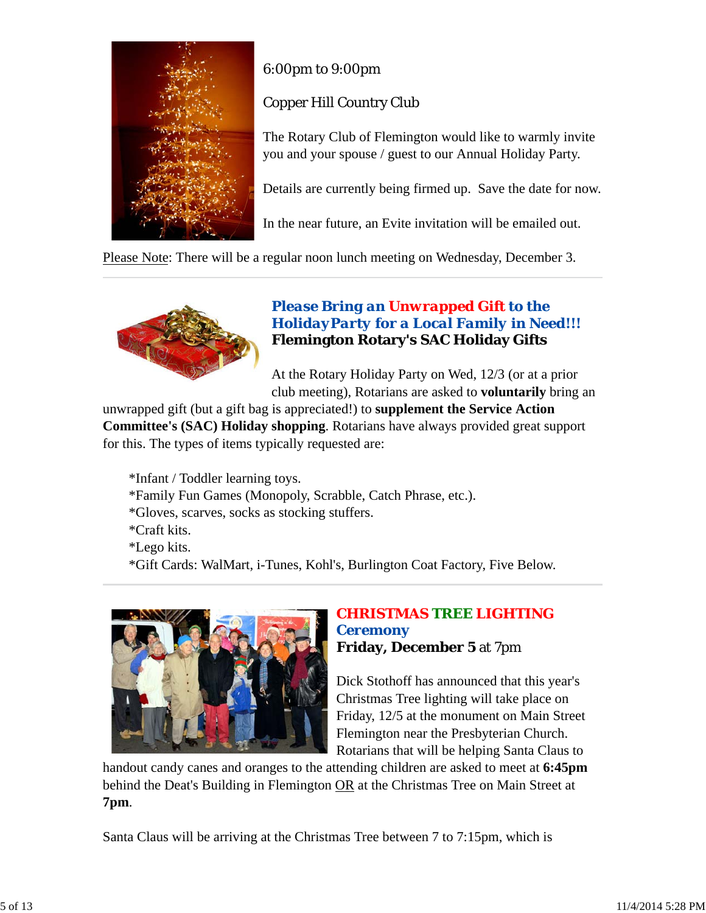

## 6:00pm to 9:00pm

## Copper Hill Country Club

The Rotary Club of Flemington would like to warmly invite you and your spouse / guest to our Annual Holiday Party.

Details are currently being firmed up. Save the date for now.

In the near future, an Evite invitation will be emailed out.

Please Note: There will be a regular noon lunch meeting on Wednesday, December 3.



## *Please Bring an Unwrapped Gift to the HolidayParty for a Local Family in Need!!!* **Flemington Rotary's SAC Holiday Gifts**

At the Rotary Holiday Party on Wed, 12/3 (or at a prior club meeting), Rotarians are asked to **voluntarily** bring an

unwrapped gift (but a gift bag is appreciated!) to **supplement the Service Action Committee's (SAC) Holiday shopping**. Rotarians have always provided great support for this. The types of items typically requested are:

\*Infant / Toddler learning toys. \*Family Fun Games (Monopoly, Scrabble, Catch Phrase, etc.). \*Gloves, scarves, socks as stocking stuffers. \*Craft kits. \*Lego kits. \*Gift Cards: WalMart, i-Tunes, Kohl's, Burlington Coat Factory, Five Below.



## *CHRISTMAS TREE LIGHTING Ceremony* **Friday, December 5** at 7pm

Dick Stothoff has announced that this year's Christmas Tree lighting will take place on Friday, 12/5 at the monument on Main Street Flemington near the Presbyterian Church. Rotarians that will be helping Santa Claus to

handout candy canes and oranges to the attending children are asked to meet at **6:45pm** behind the Deat's Building in Flemington OR at the Christmas Tree on Main Street at **7pm**.

Santa Claus will be arriving at the Christmas Tree between 7 to 7:15pm, which is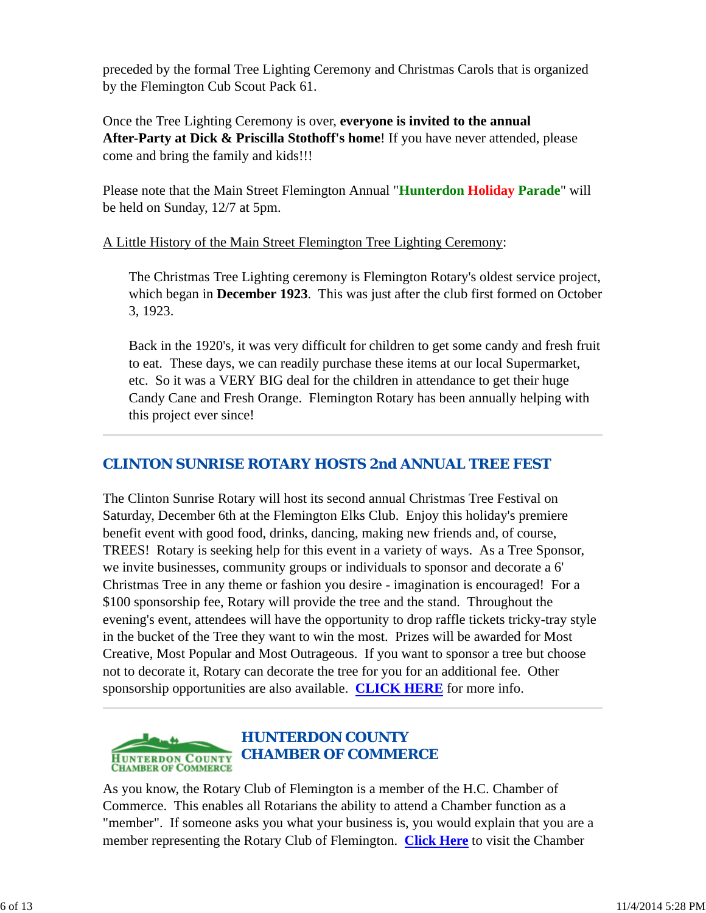preceded by the formal Tree Lighting Ceremony and Christmas Carols that is organized by the Flemington Cub Scout Pack 61.

Once the Tree Lighting Ceremony is over, **everyone is invited to the annual After-Party at Dick & Priscilla Stothoff's home**! If you have never attended, please come and bring the family and kids!!!

Please note that the Main Street Flemington Annual "**Hunterdon Holiday Parade**" will be held on Sunday, 12/7 at 5pm.

### A Little History of the Main Street Flemington Tree Lighting Ceremony:

The Christmas Tree Lighting ceremony is Flemington Rotary's oldest service project, which began in **December 1923**. This was just after the club first formed on October 3, 1923.

Back in the 1920's, it was very difficult for children to get some candy and fresh fruit to eat. These days, we can readily purchase these items at our local Supermarket, etc. So it was a VERY BIG deal for the children in attendance to get their huge Candy Cane and Fresh Orange. Flemington Rotary has been annually helping with this project ever since!

## *CLINTON SUNRISE ROTARY HOSTS 2nd ANNUAL TREE FEST*

The Clinton Sunrise Rotary will host its second annual Christmas Tree Festival on Saturday, December 6th at the Flemington Elks Club. Enjoy this holiday's premiere benefit event with good food, drinks, dancing, making new friends and, of course, TREES! Rotary is seeking help for this event in a variety of ways. As a Tree Sponsor, we invite businesses, community groups or individuals to sponsor and decorate a 6' Christmas Tree in any theme or fashion you desire - imagination is encouraged! For a \$100 sponsorship fee, Rotary will provide the tree and the stand. Throughout the evening's event, attendees will have the opportunity to drop raffle tickets tricky-tray style in the bucket of the Tree they want to win the most. Prizes will be awarded for Most Creative, Most Popular and Most Outrageous. If you want to sponsor a tree but choose not to decorate it, Rotary can decorate the tree for you for an additional fee. Other sponsorship opportunities are also available. **CLICK HERE** for more info.



As you know, the Rotary Club of Flemington is a member of the H.C. Chamber of Commerce. This enables all Rotarians the ability to attend a Chamber function as a "member". If someone asks you what your business is, you would explain that you are a member representing the Rotary Club of Flemington. **Click Here** to visit the Chamber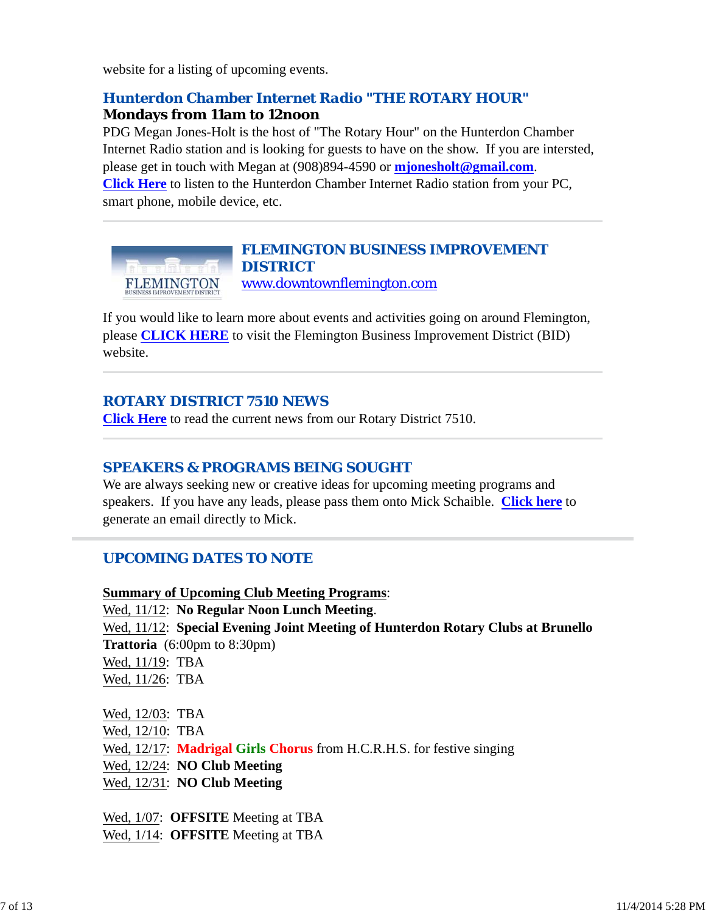website for a listing of upcoming events.

## *Hunterdon Chamber Internet Radio "THE ROTARY HOUR"*

#### **Mondays from 11am to 12noon**

PDG Megan Jones-Holt is the host of "The Rotary Hour" on the Hunterdon Chamber Internet Radio station and is looking for guests to have on the show. If you are intersted, please get in touch with Megan at (908)894-4590 or **mjonesholt@gmail.com**. **Click Here** to listen to the Hunterdon Chamber Internet Radio station from your PC, smart phone, mobile device, etc.



# *FLEMINGTON BUSINESS IMPROVEMENT DISTRICT*

www.downtownflemington.com

If you would like to learn more about events and activities going on around Flemington, please **CLICK HERE** to visit the Flemington Business Improvement District (BID) website.

### *ROTARY DISTRICT 7510 NEWS*

**Click Here** to read the current news from our Rotary District 7510.

### *SPEAKERS & PROGRAMS BEING SOUGHT*

We are always seeking new or creative ideas for upcoming meeting programs and speakers. If you have any leads, please pass them onto Mick Schaible. **Click here** to generate an email directly to Mick.

## *UPCOMING DATES TO NOTE*

**Summary of Upcoming Club Meeting Programs**: Wed, 11/12: **No Regular Noon Lunch Meeting**. Wed, 11/12: **Special Evening Joint Meeting of Hunterdon Rotary Clubs at Brunello Trattoria** (6:00pm to 8:30pm) Wed, 11/19: TBA Wed, 11/26: TBA Wed, 12/03: TBA Wed, 12/10: TBA Wed, 12/17: **Madrigal Girls Chorus** from H.C.R.H.S. for festive singing Wed, 12/24: **NO Club Meeting** Wed, 12/31: **NO Club Meeting** Wed, 1/07: **OFFSITE** Meeting at TBA

Wed, 1/14: **OFFSITE** Meeting at TBA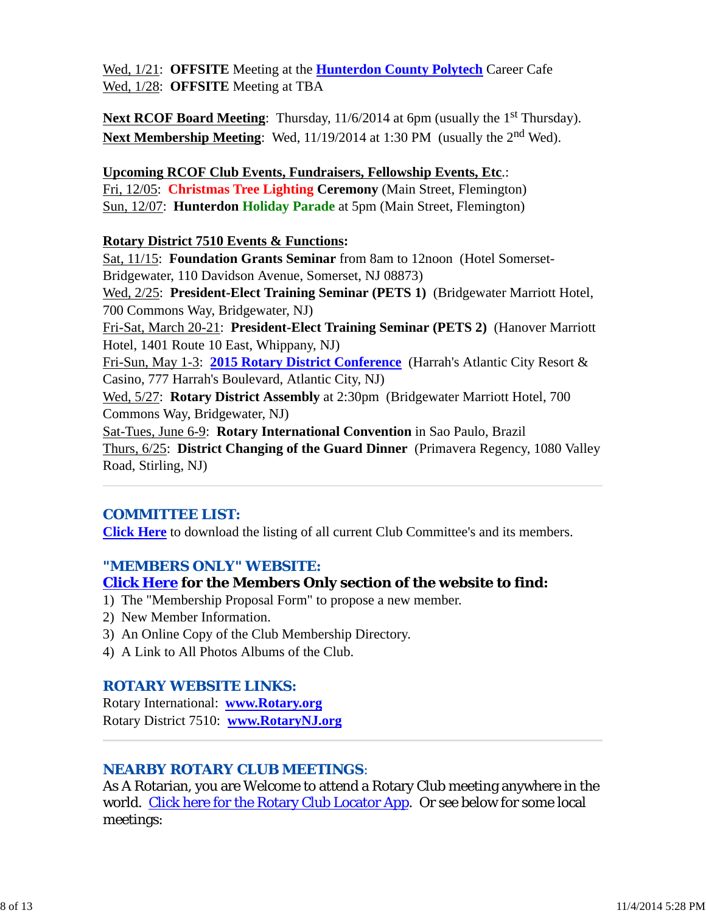Wed, 1/21: **OFFSITE** Meeting at the **Hunterdon County Polytech** Career Cafe Wed, 1/28: **OFFSITE** Meeting at TBA

**Next RCOF Board Meeting:** Thursday, 11/6/2014 at 6pm (usually the 1<sup>st</sup> Thursday). **Next Membership Meeting**: Wed, 11/19/2014 at 1:30 PM (usually the 2nd Wed).

**Upcoming RCOF Club Events, Fundraisers, Fellowship Events, Etc**.: Fri, 12/05: **Christmas Tree Lighting Ceremony** (Main Street, Flemington) Sun, 12/07: **Hunterdon Holiday Parade** at 5pm (Main Street, Flemington)

### **Rotary District 7510 Events & Functions:**

Sat, 11/15: **Foundation Grants Seminar** from 8am to 12noon (Hotel Somerset-Bridgewater, 110 Davidson Avenue, Somerset, NJ 08873) Wed, 2/25: **President-Elect Training Seminar (PETS 1)** (Bridgewater Marriott Hotel, 700 Commons Way, Bridgewater, NJ) Fri-Sat, March 20-21: **President-Elect Training Seminar (PETS 2)** (Hanover Marriott Hotel, 1401 Route 10 East, Whippany, NJ) Fri-Sun, May 1-3: **2015 Rotary District Conference** (Harrah's Atlantic City Resort & Casino, 777 Harrah's Boulevard, Atlantic City, NJ) Wed, 5/27: **Rotary District Assembly** at 2:30pm (Bridgewater Marriott Hotel, 700 Commons Way, Bridgewater, NJ) Sat-Tues, June 6-9: **Rotary International Convention** in Sao Paulo, Brazil Thurs, 6/25: **District Changing of the Guard Dinner** (Primavera Regency, 1080 Valley Road, Stirling, NJ)

## *COMMITTEE LIST:*

**Click Here** to download the listing of all current Club Committee's and its members.

### *"MEMBERS ONLY" WEBSITE:*

### **Click Here for the Members Only section of the website to find:**

- 1) The "Membership Proposal Form" to propose a new member.
- 2) New Member Information.
- 3) An Online Copy of the Club Membership Directory.
- 4) A Link to All Photos Albums of the Club.

#### *ROTARY WEBSITE LINKS:*

Rotary International: **www.Rotary.org** Rotary District 7510: **www.RotaryNJ.org**

### *NEARBY ROTARY CLUB MEETINGS:*

As A Rotarian, you are Welcome to attend a Rotary Club meeting anywhere in the world. Click here for the Rotary Club Locator App. Or see below for some local meetings: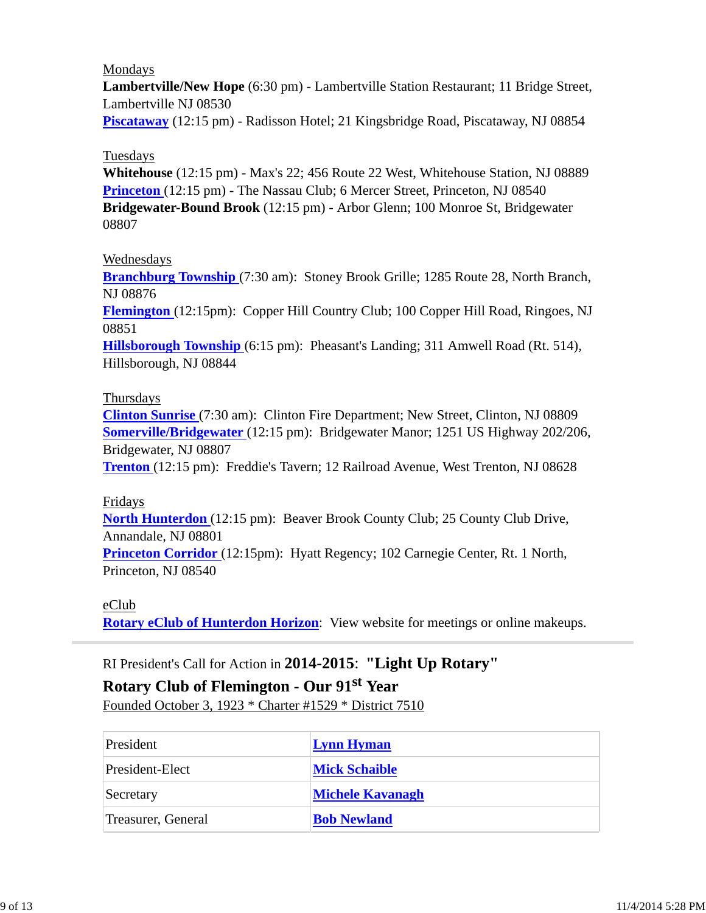#### Mondays

**Lambertville/New Hope** (6:30 pm) - Lambertville Station Restaurant; 11 Bridge Street, Lambertville NJ 08530

**Piscataway** (12:15 pm) - Radisson Hotel; 21 Kingsbridge Road, Piscataway, NJ 08854

#### Tuesdays

**Whitehouse** (12:15 pm) - Max's 22; 456 Route 22 West, Whitehouse Station, NJ 08889 **Princeton** (12:15 pm) - The Nassau Club; 6 Mercer Street, Princeton, NJ 08540 **Bridgewater-Bound Brook** (12:15 pm) - Arbor Glenn; 100 Monroe St, Bridgewater 08807

#### Wednesdays

**Branchburg Township** (7:30 am): Stoney Brook Grille; 1285 Route 28, North Branch, NJ 08876

**Flemington** (12:15pm): Copper Hill Country Club; 100 Copper Hill Road, Ringoes, NJ 08851

**Hillsborough Township** (6:15 pm): Pheasant's Landing; 311 Amwell Road (Rt. 514), Hillsborough, NJ 08844

#### Thursdays

**Clinton Sunrise** (7:30 am): Clinton Fire Department; New Street, Clinton, NJ 08809 **Somerville/Bridgewater** (12:15 pm): Bridgewater Manor; 1251 US Highway 202/206, Bridgewater, NJ 08807

**Trenton** (12:15 pm): Freddie's Tavern; 12 Railroad Avenue, West Trenton, NJ 08628

#### Fridays

**North Hunterdon** (12:15 pm): Beaver Brook County Club; 25 County Club Drive, Annandale, NJ 08801 **Princeton Corridor** (12:15pm): Hyatt Regency; 102 Carnegie Center, Rt. 1 North,

Princeton, NJ 08540

eClub

**Rotary eClub of Hunterdon Horizon**: View website for meetings or online makeups.

## RI President's Call for Action in **2014-2015**: **"Light Up Rotary"**

# **Rotary Club of Flemington - Our 91st Year**

Founded October 3, 1923 \* Charter #1529 \* District 7510

| President          | <b>Lynn Hyman</b>       |
|--------------------|-------------------------|
| President-Elect    | <b>Mick Schaible</b>    |
| Secretary          | <b>Michele Kavanagh</b> |
| Treasurer, General | <b>Bob Newland</b>      |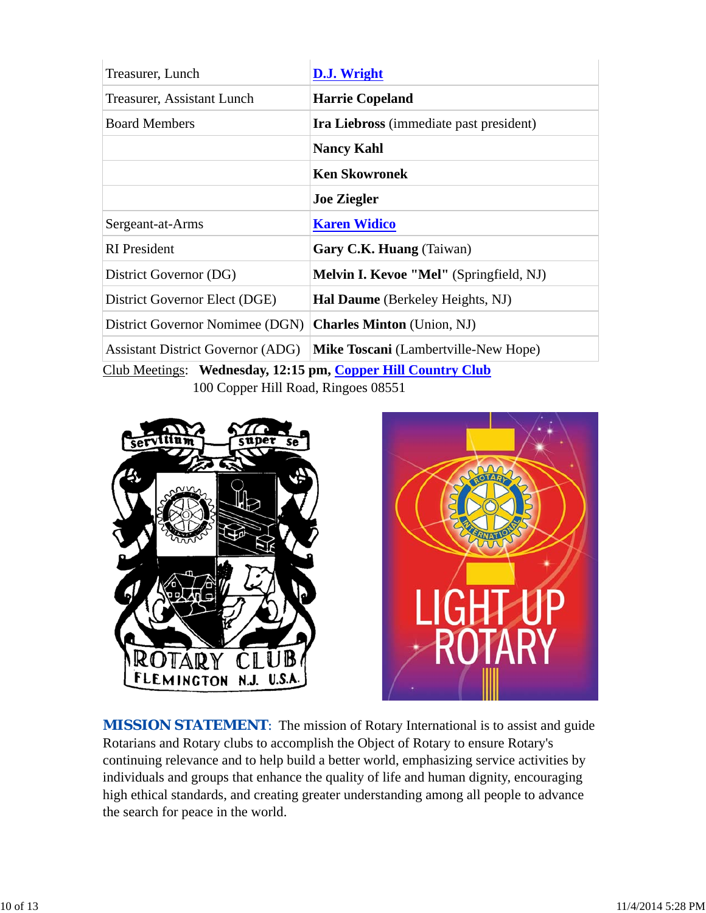| Treasurer, Lunch                                             | D.J. Wright                                 |  |  |
|--------------------------------------------------------------|---------------------------------------------|--|--|
| Treasurer, Assistant Lunch                                   | <b>Harrie Copeland</b>                      |  |  |
| <b>Board Members</b>                                         | Ira Liebross (immediate past president)     |  |  |
|                                                              | <b>Nancy Kahl</b>                           |  |  |
|                                                              | <b>Ken Skowronek</b>                        |  |  |
|                                                              | <b>Joe Ziegler</b>                          |  |  |
| Sergeant-at-Arms                                             | <b>Karen Widico</b>                         |  |  |
| <b>RI</b> President                                          | Gary C.K. Huang (Taiwan)                    |  |  |
| District Governor (DG)                                       | Melvin I. Kevoe "Mel" (Springfield, NJ)     |  |  |
| District Governor Elect (DGE)                                | <b>Hal Daume</b> (Berkeley Heights, NJ)     |  |  |
| District Governor Nomimee (DGN)                              | <b>Charles Minton</b> (Union, NJ)           |  |  |
| <b>Assistant District Governor (ADG)</b>                     | <b>Mike Toscani</b> (Lambertville-New Hope) |  |  |
| Club Meetings: Wednesday, 12:15 pm, Copper Hill Country Club |                                             |  |  |

100 Copper Hill Road, Ringoes 08551





**MISSION STATEMENT:** The mission of Rotary International is to assist and guide Rotarians and Rotary clubs to accomplish the Object of Rotary to ensure Rotary's continuing relevance and to help build a better world, emphasizing service activities by individuals and groups that enhance the quality of life and human dignity, encouraging high ethical standards, and creating greater understanding among all people to advance the search for peace in the world.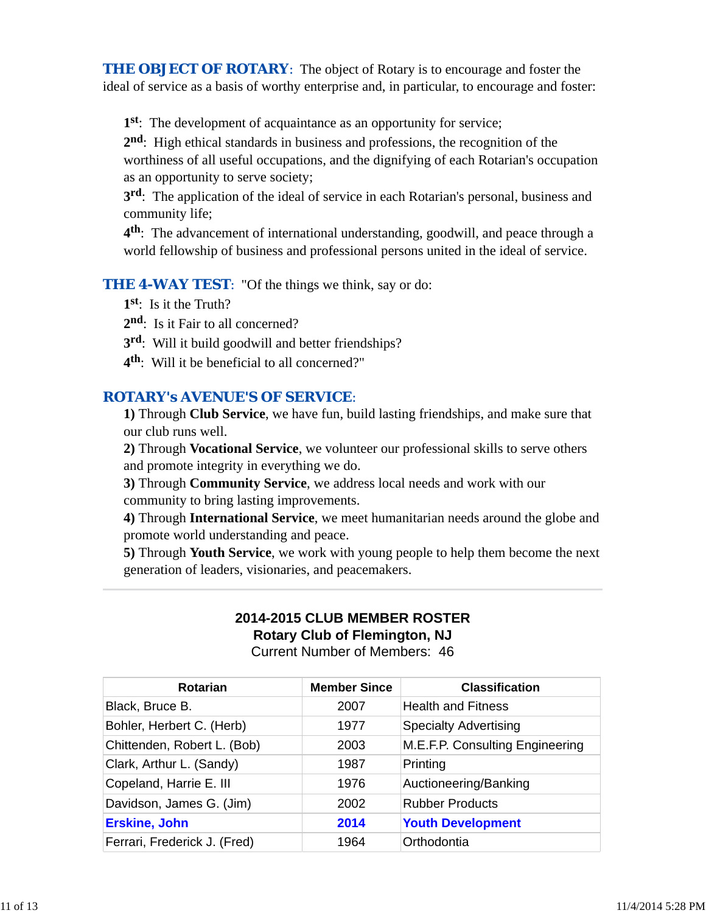**THE OBJECT OF ROTARY:** The object of Rotary is to encourage and foster the ideal of service as a basis of worthy enterprise and, in particular, to encourage and foster:

**1st**: The development of acquaintance as an opportunity for service;

**2nd**: High ethical standards in business and professions, the recognition of the worthiness of all useful occupations, and the dignifying of each Rotarian's occupation as an opportunity to serve society;

**3rd**: The application of the ideal of service in each Rotarian's personal, business and community life;

**4th**: The advancement of international understanding, goodwill, and peace through a world fellowship of business and professional persons united in the ideal of service.

**THE 4-WAY TEST:** "Of the things we think, say or do:

**1st**: Is it the Truth?

2<sup>nd</sup>: Is it Fair to all concerned?

**3rd**: Will it build goodwill and better friendships?

**4th**: Will it be beneficial to all concerned?"

## *ROTARY's AVENUE'S OF SERVICE*:

**1)** Through **Club Service**, we have fun, build lasting friendships, and make sure that our club runs well.

**2)** Through **Vocational Service**, we volunteer our professional skills to serve others and promote integrity in everything we do.

**3)** Through **Community Service**, we address local needs and work with our community to bring lasting improvements.

**4)** Through **International Service**, we meet humanitarian needs around the globe and promote world understanding and peace.

**5)** Through **Youth Service**, we work with young people to help them become the next generation of leaders, visionaries, and peacemakers.

#### **2014-2015 CLUB MEMBER ROSTER Rotary Club of Flemington, NJ** Current Number of Members: 46

| Rotarian                     | <b>Member Since</b> | <b>Classification</b>           |
|------------------------------|---------------------|---------------------------------|
| Black, Bruce B.              | 2007                | <b>Health and Fitness</b>       |
| Bohler, Herbert C. (Herb)    | 1977                | <b>Specialty Advertising</b>    |
| Chittenden, Robert L. (Bob)  | 2003                | M.E.F.P. Consulting Engineering |
| Clark, Arthur L. (Sandy)     | 1987                | Printing                        |
| Copeland, Harrie E. III      | 1976                | Auctioneering/Banking           |
| Davidson, James G. (Jim)     | 2002                | <b>Rubber Products</b>          |
| <b>Erskine, John</b>         | 2014                | <b>Youth Development</b>        |
| Ferrari, Frederick J. (Fred) | 1964                | Orthodontia                     |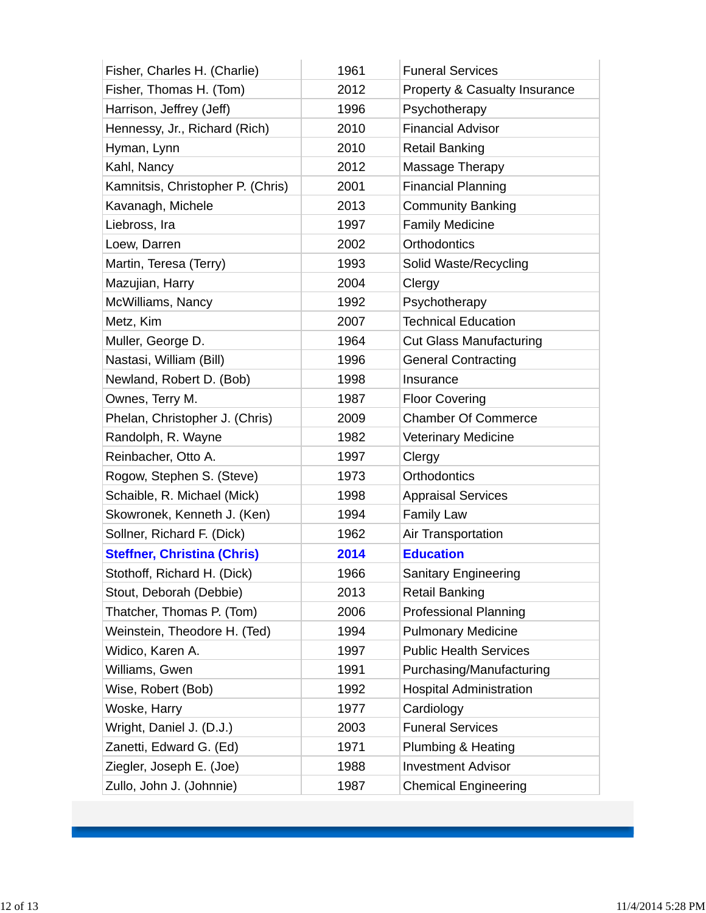| Fisher, Charles H. (Charlie)       | 1961 | <b>Funeral Services</b>                  |
|------------------------------------|------|------------------------------------------|
| Fisher, Thomas H. (Tom)            | 2012 | <b>Property &amp; Casualty Insurance</b> |
| Harrison, Jeffrey (Jeff)           | 1996 | Psychotherapy                            |
| Hennessy, Jr., Richard (Rich)      | 2010 | <b>Financial Advisor</b>                 |
| Hyman, Lynn                        | 2010 | <b>Retail Banking</b>                    |
| Kahl, Nancy                        | 2012 | Massage Therapy                          |
| Kamnitsis, Christopher P. (Chris)  | 2001 | <b>Financial Planning</b>                |
| Kavanagh, Michele                  | 2013 | <b>Community Banking</b>                 |
| Liebross, Ira                      | 1997 | <b>Family Medicine</b>                   |
| Loew, Darren                       | 2002 | <b>Orthodontics</b>                      |
| Martin, Teresa (Terry)             | 1993 | Solid Waste/Recycling                    |
| Mazujian, Harry                    | 2004 | Clergy                                   |
| McWilliams, Nancy                  | 1992 | Psychotherapy                            |
| Metz, Kim                          | 2007 | <b>Technical Education</b>               |
| Muller, George D.                  | 1964 | <b>Cut Glass Manufacturing</b>           |
| Nastasi, William (Bill)            | 1996 | <b>General Contracting</b>               |
| Newland, Robert D. (Bob)           | 1998 | Insurance                                |
| Ownes, Terry M.                    | 1987 | <b>Floor Covering</b>                    |
| Phelan, Christopher J. (Chris)     | 2009 | <b>Chamber Of Commerce</b>               |
| Randolph, R. Wayne                 | 1982 | <b>Veterinary Medicine</b>               |
| Reinbacher, Otto A.                | 1997 | Clergy                                   |
| Rogow, Stephen S. (Steve)          | 1973 | <b>Orthodontics</b>                      |
| Schaible, R. Michael (Mick)        | 1998 | <b>Appraisal Services</b>                |
| Skowronek, Kenneth J. (Ken)        | 1994 | <b>Family Law</b>                        |
| Sollner, Richard F. (Dick)         | 1962 | Air Transportation                       |
| <b>Steffner, Christina (Chris)</b> | 2014 | <b>Education</b>                         |
| Stothoff, Richard H. (Dick)        | 1966 | Sanitary Engineering                     |
| Stout, Deborah (Debbie)            | 2013 | <b>Retail Banking</b>                    |
| Thatcher, Thomas P. (Tom)          | 2006 | <b>Professional Planning</b>             |
| Weinstein, Theodore H. (Ted)       | 1994 | <b>Pulmonary Medicine</b>                |
| Widico, Karen A.                   | 1997 | <b>Public Health Services</b>            |
| Williams, Gwen                     | 1991 | Purchasing/Manufacturing                 |
| Wise, Robert (Bob)                 | 1992 | <b>Hospital Administration</b>           |
| Woske, Harry                       | 1977 | Cardiology                               |
| Wright, Daniel J. (D.J.)           | 2003 | <b>Funeral Services</b>                  |
| Zanetti, Edward G. (Ed)            | 1971 | Plumbing & Heating                       |
| Ziegler, Joseph E. (Joe)           | 1988 | <b>Investment Advisor</b>                |
| Zullo, John J. (Johnnie)           | 1987 | <b>Chemical Engineering</b>              |